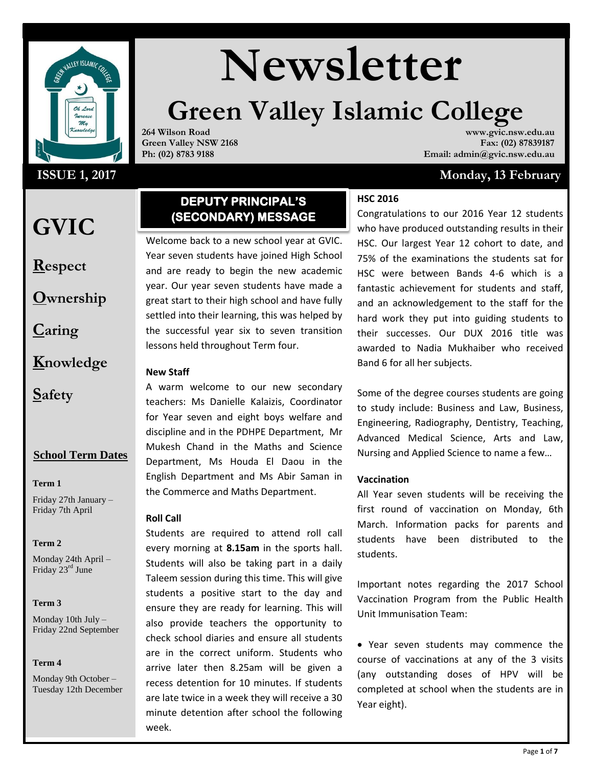

## **ISSUE 1, 2017**

## **GVIC**

**Respect**

**Ownership**

**Caring**

**Knowledge**

**Safety**

## **School Term Dates**

**Term 1** 

Friday 27th January – Friday 7th April

### **Term 2**

Monday 24th April – Friday 23<sup>rd</sup> June

## **Term 3**

Monday 10th July – Friday 22nd September

### **Term 4**

Monday 9th October – Tuesday 12th December

# **Newsletter**

# **Green Valley Islamic College**

**264 Wilson Road Green Valley NSW 2168 Ph: (02) 8783 9188**

**www.gvic.nsw.edu.au Fax: (02) 87839187 Email: admin@gvic.nsw.edu.au**

## **Monday, 13 February**

## **HSC 2016**

Year seven students have joined High School Congratulations to our 2016 Year 12 students who have produced outstanding results in their HSC. Our largest Year 12 cohort to date, and 75% of the examinations the students sat for HSC were between Bands 4-6 which is a fantastic achievement for students and staff, and an acknowledgement to the staff for the hard work they put into guiding students to their successes. Our DUX 2016 title was awarded to Nadia Mukhaiber who received Band 6 for all her subjects.

> Some of the degree courses students are going to study include: Business and Law, Business, Engineering, Radiography, Dentistry, Teaching, Advanced Medical Science, Arts and Law, Nursing and Applied Science to name a few…

## **Vaccination**

All Year seven students will be receiving the first round of vaccination on Monday, 6th March. Information packs for parents and students have been distributed to the students.

Important notes regarding the 2017 School Vaccination Program from the Public Health Unit Immunisation Team:

 Year seven students may commence the course of vaccinations at any of the 3 visits (any outstanding doses of HPV will be completed at school when the students are in Year eight).

## Welcome back to a new school year at GVIC. **(SECONDARY) MESSAGE**

**DEPUTY PRINCIPAL'S** 

and are ready to begin the new academic year. Our year seven students have made a great start to their high school and have fully settled into their learning, this was helped by the successful year six to seven transition lessons held throughout Term four.

## **New Staff**

A warm welcome to our new secondary teachers: Ms Danielle Kalaizis, Coordinator for Year seven and eight boys welfare and discipline and in the PDHPE Department, Mr Mukesh Chand in the Maths and Science Department, Ms Houda El Daou in the English Department and Ms Abir Saman in the Commerce and Maths Department.

## **Roll Call**

Students are required to attend roll call every morning at **8.15am** in the sports hall. Students will also be taking part in a daily Taleem session during this time. This will give students a positive start to the day and ensure they are ready for learning. This will also provide teachers the opportunity to check school diaries and ensure all students are in the correct uniform. Students who arrive later then 8.25am will be given a recess detention for 10 minutes. If students are late twice in a week they will receive a 30 minute detention after school the following week.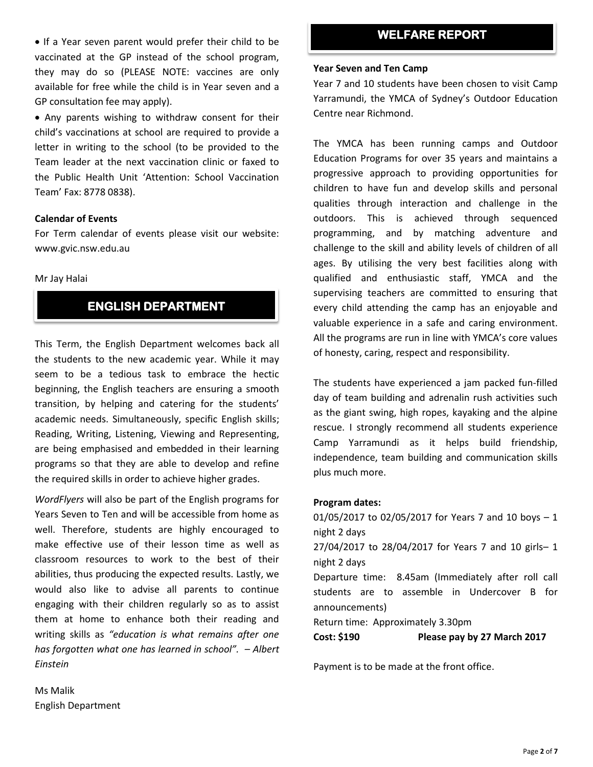• If a Year seven parent would prefer their child to be vaccinated at the GP instead of the school program, they may do so (PLEASE NOTE: vaccines are only available for free while the child is in Year seven and a GP consultation fee may apply).

 Any parents wishing to withdraw consent for their child's vaccinations at school are required to provide a letter in writing to the school (to be provided to the Team leader at the next vaccination clinic or faxed to the Public Health Unit 'Attention: School Vaccination Team' Fax: 8778 0838).

## **Calendar of Events**

For Term calendar of events please visit our website: www.gvic.nsw.edu.au

### Mr Jay Halai

## **ENGLISH DEPARTMENT**

This Term, the English Department welcomes back all the students to the new academic year. While it may seem to be a tedious task to embrace the hectic beginning, the English teachers are ensuring a smooth transition, by helping and catering for the students' academic needs. Simultaneously, specific English skills; Reading, Writing, Listening, Viewing and Representing, are being emphasised and embedded in their learning programs so that they are able to develop and refine the required skills in order to achieve higher grades.

*WordFlyers* will also be part of the English programs for Years Seven to Ten and will be accessible from home as well. Therefore, students are highly encouraged to make effective use of their lesson time as well as classroom resources to work to the best of their abilities, thus producing the expected results. Lastly, we would also like to advise all parents to continue engaging with their children regularly so as to assist them at home to enhance both their reading and writing skills as *"education is what remains after one has forgotten what one has learned in school". – Albert Einstein*

## **WELFARE REPORT**

### **Year Seven and Ten Camp**

Year 7 and 10 students have been chosen to visit Camp Yarramundi, the YMCA of Sydney's Outdoor Education Centre near Richmond.

The YMCA has been running camps and Outdoor Education Programs for over 35 years and maintains a progressive approach to providing opportunities for children to have fun and develop skills and personal qualities through interaction and challenge in the outdoors. This is achieved through sequenced programming, and by matching adventure and challenge to the skill and ability levels of children of all ages. By utilising the very best facilities along with qualified and enthusiastic staff, YMCA and the supervising teachers are committed to ensuring that every child attending the camp has an enjoyable and valuable experience in a safe and caring environment. All the programs are run in line with YMCA's core values of honesty, caring, respect and responsibility.

The students have experienced a jam packed fun-filled day of team building and adrenalin rush activities such as the giant swing, high ropes, kayaking and the alpine rescue. I strongly recommend all students experience Camp Yarramundi as it helps build friendship, independence, team building and communication skills plus much more.

## **Program dates:**

01/05/2017 to 02/05/2017 for Years 7 and 10 boys – 1 night 2 days 27/04/2017 to 28/04/2017 for Years 7 and 10 girls– 1 night 2 days Departure time: 8.45am (Immediately after roll call students are to assemble in Undercover B for announcements) Return time: Approximately 3.30pm **Cost: \$190 Please pay by 27 March 2017**

Payment is to be made at the front office.

Ms Malik English Department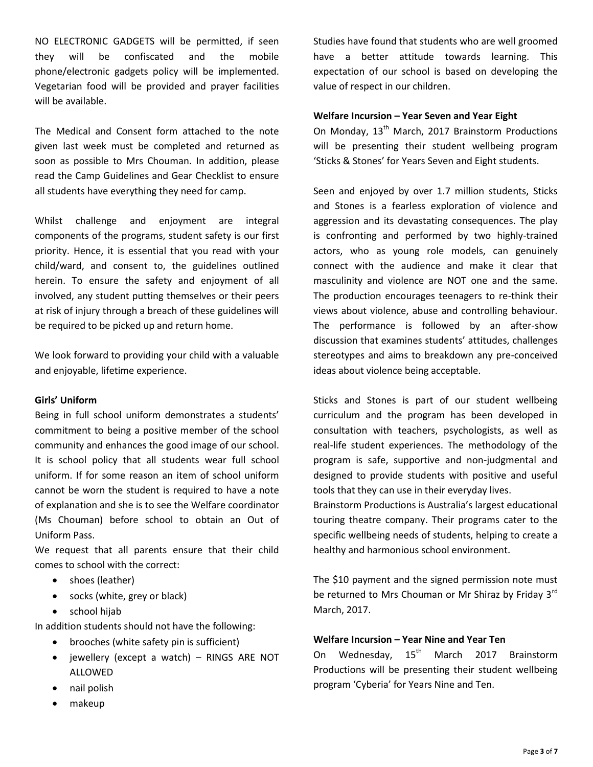NO ELECTRONIC GADGETS will be permitted, if seen they will be confiscated and the mobile phone/electronic gadgets policy will be implemented. Vegetarian food will be provided and prayer facilities will be available.

The Medical and Consent form attached to the note given last week must be completed and returned as soon as possible to Mrs Chouman. In addition, please read the Camp Guidelines and Gear Checklist to ensure all students have everything they need for camp.

Whilst challenge and enjoyment are integral components of the programs, student safety is our first priority. Hence, it is essential that you read with your child/ward, and consent to, the guidelines outlined herein. To ensure the safety and enjoyment of all involved, any student putting themselves or their peers at risk of injury through a breach of these guidelines will be required to be picked up and return home.

We look forward to providing your child with a valuable and enjoyable, lifetime experience.

### **Girls' Uniform**

Being in full school uniform demonstrates a students' commitment to being a positive member of the school community and enhances the good image of our school. It is school policy that all students wear full school uniform. If for some reason an item of school uniform cannot be worn the student is required to have a note of explanation and she is to see the Welfare coordinator (Ms Chouman) before school to obtain an Out of Uniform Pass.

We request that all parents ensure that their child comes to school with the correct:

- shoes (leather)
- socks (white, grey or black)
- school hijab

In addition students should not have the following:

- brooches (white safety pin is sufficient)
- jewellery (except a watch) RINGS ARE NOT ALLOWED
- nail polish
- makeup

Studies have found that students who are well groomed have a better attitude towards learning. This expectation of our school is based on developing the value of respect in our children.

## **Welfare Incursion – Year Seven and Year Eight**

On Monday, 13<sup>th</sup> March, 2017 Brainstorm Productions will be presenting their student wellbeing program 'Sticks & Stones' for Years Seven and Eight students.

Seen and enjoyed by over 1.7 million students, Sticks and Stones is a fearless exploration of violence and aggression and its devastating consequences. The play is confronting and performed by two highly-trained actors, who as young role models, can genuinely connect with the audience and make it clear that masculinity and violence are NOT one and the same. The production encourages teenagers to re-think their views about violence, abuse and controlling behaviour. The performance is followed by an after-show discussion that examines students' attitudes, challenges stereotypes and aims to breakdown any pre-conceived ideas about violence being acceptable.

Sticks and Stones is part of our student wellbeing curriculum and the program has been developed in consultation with teachers, psychologists, as well as real-life student experiences. The methodology of the program is safe, supportive and non-judgmental and designed to provide students with positive and useful tools that they can use in their everyday lives.

Brainstorm Productions is Australia's largest educational touring theatre company. Their programs cater to the specific wellbeing needs of students, helping to create a healthy and harmonious school environment.

The \$10 payment and the signed permission note must be returned to Mrs Chouman or Mr Shiraz by Friday 3<sup>rd</sup> March, 2017.

## **Welfare Incursion – Year Nine and Year Ten**

On Wednesday, 15<sup>th</sup> March 2017 Brainstorm Productions will be presenting their student wellbeing program 'Cyberia' for Years Nine and Ten.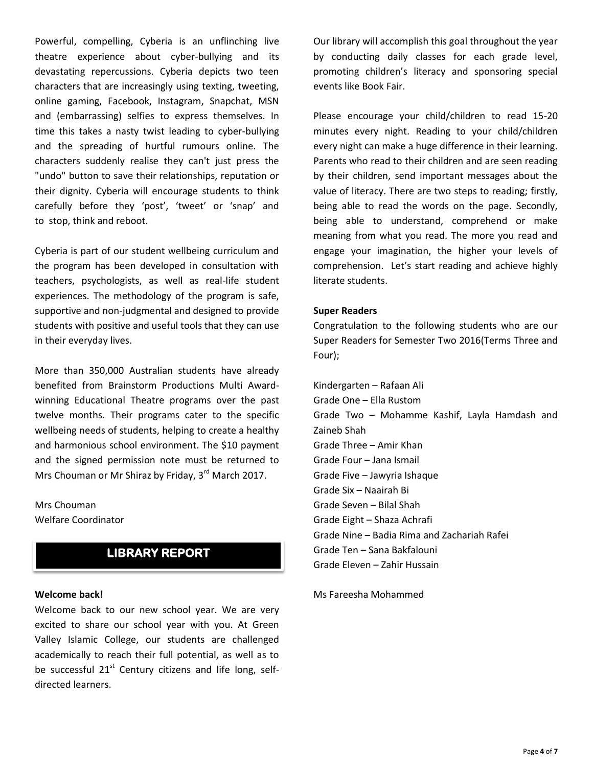Powerful, compelling, Cyberia is an unflinching live theatre experience about cyber-bullying and its devastating repercussions. Cyberia depicts two teen characters that are increasingly using texting, tweeting, online gaming, Facebook, Instagram, Snapchat, MSN and (embarrassing) selfies to express themselves. In time this takes a nasty twist leading to cyber-bullying and the spreading of hurtful rumours online. The characters suddenly realise they can't just press the "undo" button to save their relationships, reputation or their dignity. Cyberia will encourage students to think carefully before they 'post', 'tweet' or 'snap' and to stop, think and reboot.

Cyberia is part of our student wellbeing curriculum and the program has been developed in consultation with teachers, psychologists, as well as real-life student experiences. The methodology of the program is safe, supportive and non-judgmental and designed to provide students with positive and useful tools that they can use in their everyday lives.

More than 350,000 Australian students have already benefited from Brainstorm Productions Multi Awardwinning Educational Theatre programs over the past twelve months. Their programs cater to the specific wellbeing needs of students, helping to create a healthy and harmonious school environment. The \$10 payment and the signed permission note must be returned to Mrs Chouman or Mr Shiraz by Friday, 3<sup>rd</sup> March 2017.

Mrs Chouman Welfare Coordinator

## **LIBRARY REPORT**

### **Welcome back!**

Welcome back to our new school year. We are very excited to share our school year with you. At Green Valley Islamic College, our students are challenged academically to reach their full potential, as well as to be successful  $21<sup>st</sup>$  Century citizens and life long, selfdirected learners.

Our library will accomplish this goal throughout the year by conducting daily classes for each grade level, promoting children's literacy and sponsoring special events like Book Fair.

Please encourage your child/children to read 15-20 minutes every night. Reading to your child/children every night can make a huge difference in their learning. Parents who read to their children and are seen reading by their children, send important messages about the value of literacy. There are two steps to reading; firstly, being able to read the words on the page. Secondly, being able to understand, comprehend or make meaning from what you read. The more you read and engage your imagination, the higher your levels of comprehension. Let's start reading and achieve highly literate students.

### **Super Readers**

Congratulation to the following students who are our Super Readers for Semester Two 2016(Terms Three and Four);

Kindergarten – Rafaan Ali Grade One – Ella Rustom Grade Two – Mohamme Kashif, Layla Hamdash and Zaineb Shah Grade Three – Amir Khan Grade Four – Jana Ismail Grade Five – Jawyria Ishaque Grade Six – Naairah Bi Grade Seven – Bilal Shah Grade Eight – Shaza Achrafi Grade Nine – Badia Rima and Zachariah Rafei Grade Ten – Sana Bakfalouni Grade Eleven – Zahir Hussain

Ms Fareesha Mohammed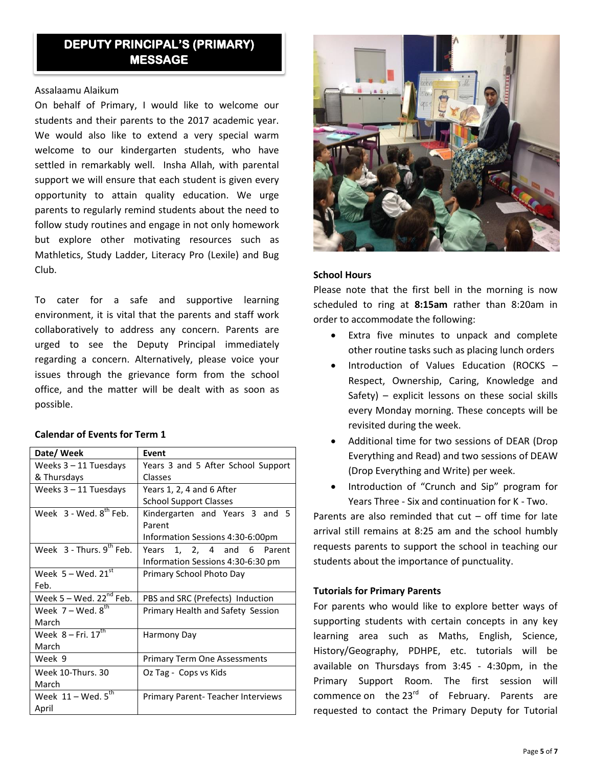## **DEPUTY PRINCIPAL'S (PRIMARY) MESSAGE**

## Assalaamu Alaikum

On behalf of Primary, I would like to welcome our students and their parents to the 2017 academic year. We would also like to extend a very special warm welcome to our kindergarten students, who have settled in remarkably well. Insha Allah, with parental support we will ensure that each student is given every opportunity to attain quality education. We urge parents to regularly remind students about the need to follow study routines and engage in not only homework but explore other motivating resources such as Mathletics, Study Ladder, Literacy Pro (Lexile) and Bug Club.

To cater for a safe and supportive learning environment, it is vital that the parents and staff work collaboratively to address any concern. Parents are urged to see the Deputy Principal immediately regarding a concern. Alternatively, please voice your issues through the grievance form from the school office, and the matter will be dealt with as soon as possible.

## **Calendar of Events for Term 1**

| Date/Week                             | Event                               |
|---------------------------------------|-------------------------------------|
| Weeks $3 - 11$ Tuesdays               | Years 3 and 5 After School Support  |
| & Thursdays                           | Classes                             |
| Weeks 3 - 11 Tuesdays                 | Years 1, 2, 4 and 6 After           |
|                                       | <b>School Support Classes</b>       |
| Week $3 -$ Wed, $8^{th}$ Feb.         | Kindergarten and Years 3 and<br>.5  |
|                                       | Parent                              |
|                                       | Information Sessions 4:30-6:00pm    |
| Week $3$ - Thurs. $9^{th}$ Feb.       | Years 1, 2, 4 and 6 Parent          |
|                                       | Information Sessions 4:30-6:30 pm   |
| Week $5 -$ Wed. $21^{st}$             | Primary School Photo Day            |
| Feb.                                  |                                     |
| Week $5 -$ Wed. 22 <sup>nd</sup> Feb. | PBS and SRC (Prefects) Induction    |
| Week $7 -$ Wed. $8^{th}$              | Primary Health and Safety Session   |
| March                                 |                                     |
| Week $8 - Fri. 17th$                  | Harmony Day                         |
| March                                 |                                     |
| Week 9                                | <b>Primary Term One Assessments</b> |
| Week 10-Thurs, 30                     | Oz Tag - Cops vs Kids               |
| March                                 |                                     |
| Week $11 -$ Wed. $5^{th}$             | Primary Parent-Teacher Interviews   |
| April                                 |                                     |



## **School Hours**

Please note that the first bell in the morning is now scheduled to ring at **8:15am** rather than 8:20am in order to accommodate the following:

- Extra five minutes to unpack and complete other routine tasks such as placing lunch orders
- Introduction of Values Education (ROCKS Respect, Ownership, Caring, Knowledge and Safety) – explicit lessons on these social skills every Monday morning. These concepts will be revisited during the week.
- Additional time for two sessions of DEAR (Drop Everything and Read) and two sessions of DEAW (Drop Everything and Write) per week.
- Introduction of "Crunch and Sip" program for Years Three - Six and continuation for K - Two.

Parents are also reminded that  $cut - off$  time for late arrival still remains at 8:25 am and the school humbly requests parents to support the school in teaching our students about the importance of punctuality.

## **Tutorials for Primary Parents**

For parents who would like to explore better ways of supporting students with certain concepts in any key learning area such as Maths, English, Science, History/Geography, PDHPE, etc. tutorials will be available on Thursdays from 3:45 - 4:30pm, in the Primary Support Room. The first session will commence on the 23<sup>rd</sup> of February. Parents are requested to contact the Primary Deputy for Tutorial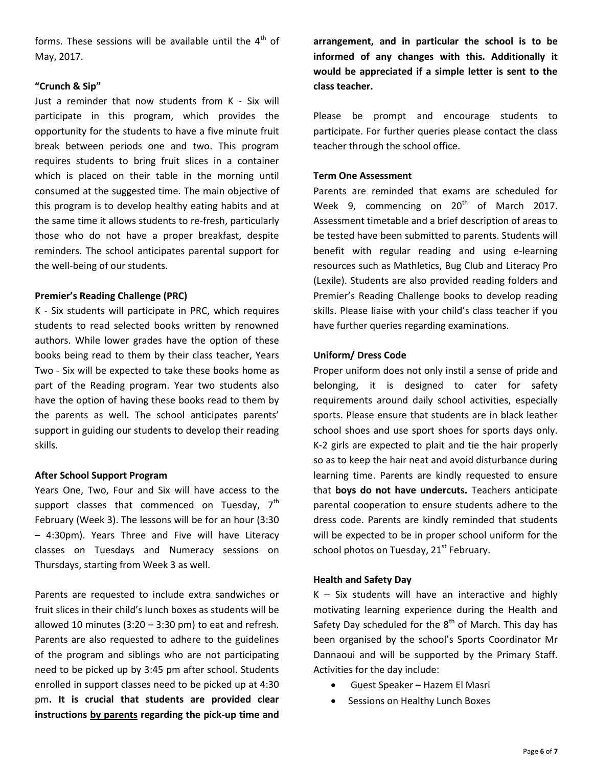forms. These sessions will be available until the  $4<sup>th</sup>$  of May, 2017.

## **"Crunch & Sip"**

Just a reminder that now students from K - Six will participate in this program, which provides the opportunity for the students to have a five minute fruit break between periods one and two. This program requires students to bring fruit slices in a container which is placed on their table in the morning until consumed at the suggested time. The main objective of this program is to develop healthy eating habits and at the same time it allows students to re-fresh, particularly those who do not have a proper breakfast, despite reminders. The school anticipates parental support for the well-being of our students.

## **Premier's Reading Challenge (PRC)**

K - Six students will participate in PRC, which requires students to read selected books written by renowned authors. While lower grades have the option of these books being read to them by their class teacher, Years Two - Six will be expected to take these books home as part of the Reading program. Year two students also have the option of having these books read to them by the parents as well. The school anticipates parents' support in guiding our students to develop their reading skills.

### **After School Support Program**

Years One, Two, Four and Six will have access to the support classes that commenced on Tuesday, 7<sup>th</sup> February (Week 3). The lessons will be for an hour (3:30 – 4:30pm). Years Three and Five will have Literacy classes on Tuesdays and Numeracy sessions on Thursdays, starting from Week 3 as well.

Parents are requested to include extra sandwiches or fruit slices in their child's lunch boxes as students will be allowed 10 minutes (3:20 – 3:30 pm) to eat and refresh. Parents are also requested to adhere to the guidelines of the program and siblings who are not participating need to be picked up by 3:45 pm after school. Students enrolled in support classes need to be picked up at 4:30 pm**. It is crucial that students are provided clear instructions by parents regarding the pick-up time and** 

**arrangement, and in particular the school is to be informed of any changes with this. Additionally it would be appreciated if a simple letter is sent to the class teacher.**

Please be prompt and encourage students to participate. For further queries please contact the class teacher through the school office.

## **Term One Assessment**

Parents are reminded that exams are scheduled for Week 9, commencing on  $20^{th}$  of March 2017. Assessment timetable and a brief description of areas to be tested have been submitted to parents. Students will benefit with regular reading and using e-learning resources such as Mathletics, Bug Club and Literacy Pro (Lexile). Students are also provided reading folders and Premier's Reading Challenge books to develop reading skills. Please liaise with your child's class teacher if you have further queries regarding examinations.

## **Uniform/ Dress Code**

Proper uniform does not only instil a sense of pride and belonging, it is designed to cater for safety requirements around daily school activities, especially sports. Please ensure that students are in black leather school shoes and use sport shoes for sports days only. K-2 girls are expected to plait and tie the hair properly so as to keep the hair neat and avoid disturbance during learning time. Parents are kindly requested to ensure that **boys do not have undercuts.** Teachers anticipate parental cooperation to ensure students adhere to the dress code. Parents are kindly reminded that students will be expected to be in proper school uniform for the school photos on Tuesday,  $21<sup>st</sup>$  February.

### **Health and Safety Day**

 $K - Six students will have an interactive and highly$ motivating learning experience during the Health and Safety Day scheduled for the  $8<sup>th</sup>$  of March. This day has been organised by the school's Sports Coordinator Mr Dannaoui and will be supported by the Primary Staff. Activities for the day include:

- Guest Speaker Hazem El Masri
- Sessions on Healthy Lunch Boxes